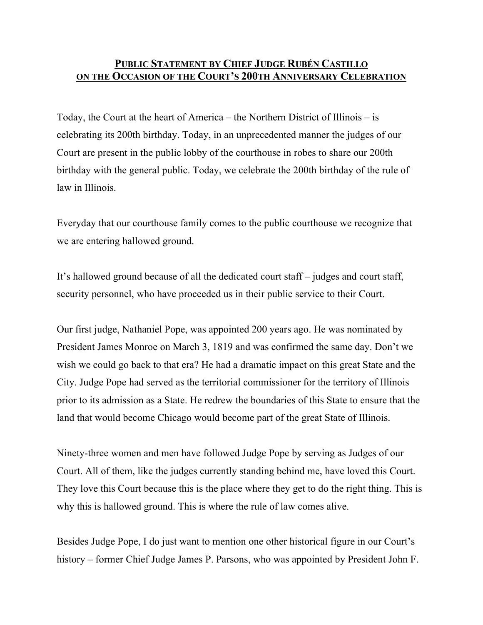## **PUBLIC STATEMENT BY CHIEF JUDGE RUBÉN CASTILLO ON THE OCCASION OF THE COURT'S 200TH ANNIVERSARY CELEBRATION**

Today, the Court at the heart of America – the Northern District of Illinois – is celebrating its 200th birthday. Today, in an unprecedented manner the judges of our Court are present in the public lobby of the courthouse in robes to share our 200th birthday with the general public. Today, we celebrate the 200th birthday of the rule of law in Illinois.

Everyday that our courthouse family comes to the public courthouse we recognize that we are entering hallowed ground.

It's hallowed ground because of all the dedicated court staff – judges and court staff, security personnel, who have proceeded us in their public service to their Court.

Our first judge, Nathaniel Pope, was appointed 200 years ago. He was nominated by President James Monroe on March 3, 1819 and was confirmed the same day. Don't we wish we could go back to that era? He had a dramatic impact on this great State and the City. Judge Pope had served as the territorial commissioner for the territory of Illinois prior to its admission as a State. He redrew the boundaries of this State to ensure that the land that would become Chicago would become part of the great State of Illinois.

Ninety-three women and men have followed Judge Pope by serving as Judges of our Court. All of them, like the judges currently standing behind me, have loved this Court. They love this Court because this is the place where they get to do the right thing. This is why this is hallowed ground. This is where the rule of law comes alive.

Besides Judge Pope, I do just want to mention one other historical figure in our Court's history – former Chief Judge James P. Parsons, who was appointed by President John F.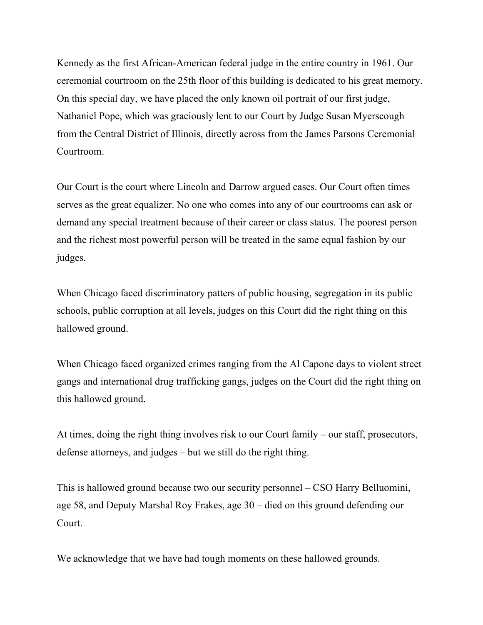Kennedy as the first African-American federal judge in the entire country in 1961. Our ceremonial courtroom on the 25th floor of this building is dedicated to his great memory. On this special day, we have placed the only known oil portrait of our first judge, Nathaniel Pope, which was graciously lent to our Court by Judge Susan Myerscough from the Central District of Illinois, directly across from the James Parsons Ceremonial Courtroom.

Our Court is the court where Lincoln and Darrow argued cases. Our Court often times serves as the great equalizer. No one who comes into any of our courtrooms can ask or demand any special treatment because of their career or class status. The poorest person and the richest most powerful person will be treated in the same equal fashion by our judges.

When Chicago faced discriminatory patters of public housing, segregation in its public schools, public corruption at all levels, judges on this Court did the right thing on this hallowed ground.

When Chicago faced organized crimes ranging from the Al Capone days to violent street gangs and international drug trafficking gangs, judges on the Court did the right thing on this hallowed ground.

At times, doing the right thing involves risk to our Court family – our staff, prosecutors, defense attorneys, and judges – but we still do the right thing.

This is hallowed ground because two our security personnel – CSO Harry Belluomini, age 58, and Deputy Marshal Roy Frakes, age 30 – died on this ground defending our Court.

We acknowledge that we have had tough moments on these hallowed grounds.